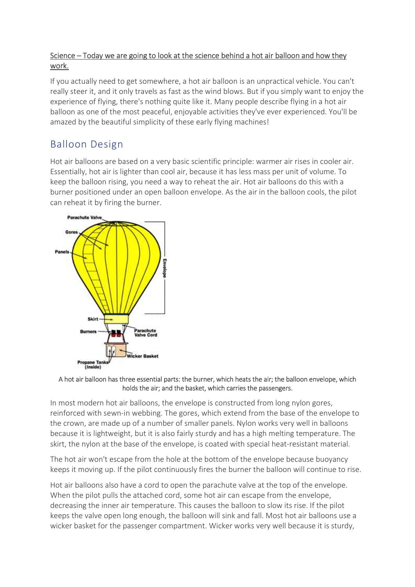## Science – Today we are going to look at the science behind a hot air balloon and how they work.

If you actually need to get somewhere, a hot air balloon is an unpractical vehicle. You can't really steer it, and it only travels as fast as the wind blows. But if you simply want to enjoy the experience of flying, there's nothing quite like it. Many people describe flying in a hot air balloon as one of the most peaceful, enjoyable activities they've ever experienced. You'll be amazed by the beautiful simplicity of these early flying machines!

## Balloon Design

Hot air balloons are based on a very basic scientific principle: warmer air rises in cooler air. Essentially, hot air is lighter than cool air, because it has less mass per unit of volume. To keep the balloon rising, you need a way to reheat the air. Hot air balloons do this with a burner positioned under an open balloon envelope. As the air in the balloon cools, the pilot can reheat it by firing the burner.



## A hot air balloon has three essential parts: the burner, which heats the air; the balloon envelope, which holds the air; and the basket, which carries the passengers.

In most modern hot air balloons, the envelope is constructed from long nylon gores, reinforced with sewn-in webbing. The gores, which extend from the base of the envelope to the crown, are made up of a number of smaller panels. Nylon works very well in balloons because it is lightweight, but it is also fairly sturdy and has a high melting temperature. The skirt, the nylon at the base of the envelope, is coated with special heat-resistant material.

The hot air won't escape from the hole at the bottom of the envelope because buoyancy keeps it moving up. If the pilot continuously fires the burner the balloon will continue to rise.

Hot air balloons also have a cord to open the parachute valve at the top of the envelope. When the pilot pulls the attached cord, some hot air can escape from the envelope, decreasing the inner air temperature. This causes the balloon to slow its rise. If the pilot keeps the valve open long enough, the balloon will sink and fall. Most hot air balloons use a wicker basket for the passenger compartment. Wicker works very well because it is sturdy,